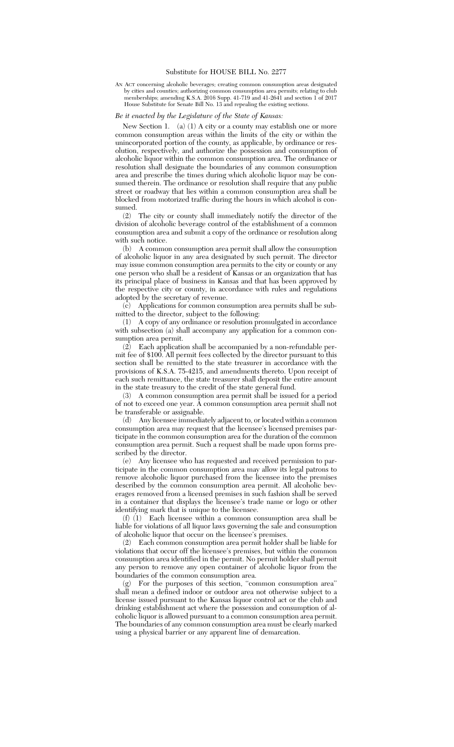AN ACT concerning alcoholic beverages; creating common consumption areas designated by cities and counties; authorizing common consumption area permits; relating to club memberships; amending K.S.A. 2016 Supp. 41-719 and 41-2641 and section 1 of 2017 House Substitute for Senate Bill No. 13 and repealing the existing sections.

## *Be it enacted by the Legislature of the State of Kansas:*

New Section 1. (a) (1) A city or a county may establish one or more common consumption areas within the limits of the city or within the unincorporated portion of the county, as applicable, by ordinance or resolution, respectively, and authorize the possession and consumption of alcoholic liquor within the common consumption area. The ordinance or resolution shall designate the boundaries of any common consumption area and prescribe the times during which alcoholic liquor may be consumed therein. The ordinance or resolution shall require that any public street or roadway that lies within a common consumption area shall be blocked from motorized traffic during the hours in which alcohol is consumed.

(2) The city or county shall immediately notify the director of the division of alcoholic beverage control of the establishment of a common consumption area and submit a copy of the ordinance or resolution along with such notice.

(b) A common consumption area permit shall allow the consumption of alcoholic liquor in any area designated by such permit. The director may issue common consumption area permits to the city or county or any one person who shall be a resident of Kansas or an organization that has its principal place of business in Kansas and that has been approved by the respective city or county, in accordance with rules and regulations adopted by the secretary of revenue.

(c) Applications for common consumption area permits shall be submitted to the director, subject to the following:

(1) A copy of any ordinance or resolution promulgated in accordance with subsection (a) shall accompany any application for a common consumption area permit.

(2) Each application shall be accompanied by a non-refundable permit fee of \$100. All permit fees collected by the director pursuant to this section shall be remitted to the state treasurer in accordance with the provisions of K.S.A. 75-4215, and amendments thereto. Upon receipt of each such remittance, the state treasurer shall deposit the entire amount in the state treasury to the credit of the state general fund.

(3) A common consumption area permit shall be issued for a period of not to exceed one year. A common consumption area permit shall not be transferable or assignable.

(d) Any licensee immediately adjacent to, or located within a common consumption area may request that the licensee's licensed premises participate in the common consumption area for the duration of the common consumption area permit. Such a request shall be made upon forms prescribed by the director.

(e) Any licensee who has requested and received permission to participate in the common consumption area may allow its legal patrons to remove alcoholic liquor purchased from the licensee into the premises described by the common consumption area permit. All alcoholic beverages removed from a licensed premises in such fashion shall be served in a container that displays the licensee's trade name or logo or other identifying mark that is unique to the licensee.

(f) (1) Each licensee within a common consumption area shall be liable for violations of all liquor laws governing the sale and consumption of alcoholic liquor that occur on the licensee's premises.

(2) Each common consumption area permit holder shall be liable for violations that occur off the licensee's premises, but within the common consumption area identified in the permit. No permit holder shall permit any person to remove any open container of alcoholic liquor from the boundaries of the common consumption area.<br> $(a)$  For the nurnoses of this section "com-

For the purposes of this section, "common consumption area" shall mean a defined indoor or outdoor area not otherwise subject to a license issued pursuant to the Kansas liquor control act or the club and drinking establishment act where the possession and consumption of alcoholic liquor is allowed pursuant to a common consumption area permit. The boundaries of any common consumption area must be clearly marked using a physical barrier or any apparent line of demarcation.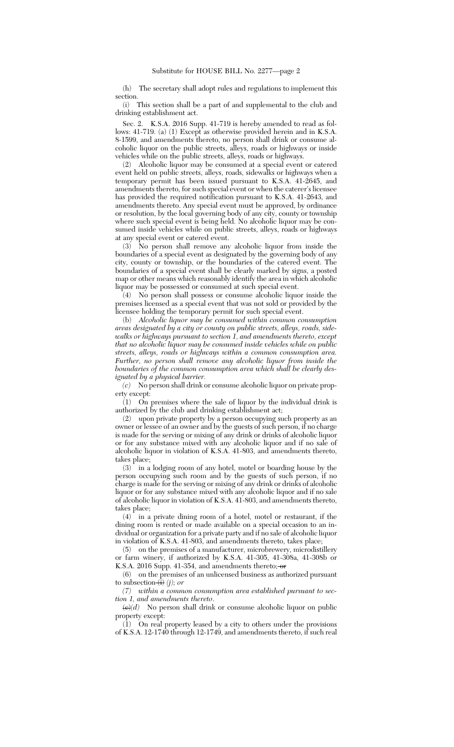(h) The secretary shall adopt rules and regulations to implement this section.

(i) This section shall be a part of and supplemental to the club and drinking establishment act.

Sec. 2. K.S.A. 2016 Supp. 41-719 is hereby amended to read as follows: 41-719. (a) (1) Except as otherwise provided herein and in K.S.A. 8-1599, and amendments thereto, no person shall drink or consume alcoholic liquor on the public streets, alleys, roads or highways or inside vehicles while on the public streets, alleys, roads or highways.

(2) Alcoholic liquor may be consumed at a special event or catered event held on public streets, alleys, roads, sidewalks or highways when a temporary permit has been issued pursuant to K.S.A. 41-2645, and amendments thereto, for such special event or when the caterer's licensee has provided the required notification pursuant to K.S.A. 41-2643, and amendments thereto. Any special event must be approved, by ordinance or resolution, by the local governing body of any city, county or township where such special event is being held. No alcoholic liquor may be consumed inside vehicles while on public streets, alleys, roads or highways at any special event or catered event.

(3) No person shall remove any alcoholic liquor from inside the boundaries of a special event as designated by the governing body of any city, county or township, or the boundaries of the catered event. The boundaries of a special event shall be clearly marked by signs, a posted map or other means which reasonably identify the area in which alcoholic liquor may be possessed or consumed at such special event.

(4) No person shall possess or consume alcoholic liquor inside the premises licensed as a special event that was not sold or provided by the licensee holding the temporary permit for such special event.

(b) *Alcoholic liquor may be consumed within common consumption areas designated by a city or county on public streets, alleys, roads, sidewalks or highways pursuant to section 1, and amendments thereto, except that no alcoholic liquor may be consumed inside vehicles while on public streets, alleys, roads or highways within a common consumption area. Further, no person shall remove any alcoholic liquor from inside the boundaries of the common consumption area which shall be clearly designated by a physical barrier.*

*(c)* No person shall drink or consume alcoholic liquor on private property except:

(1) On premises where the sale of liquor by the individual drink is authorized by the club and drinking establishment act;

(2) upon private property by a person occupying such property as an owner or lessee of an owner and by the guests of such person, if no charge is made for the serving or mixing of any drink or drinks of alcoholic liquor or for any substance mixed with any alcoholic liquor and if no sale of alcoholic liquor in violation of K.S.A. 41-803, and amendments thereto, takes place;

(3) in a lodging room of any hotel, motel or boarding house by the person occupying such room and by the guests of such person, if no charge is made for the serving or mixing of any drink or drinks of alcoholic liquor or for any substance mixed with any alcoholic liquor and if no sale of alcoholic liquor in violation of K.S.A. 41-803, and amendments thereto, takes place;

(4) in a private dining room of a hotel, motel or restaurant, if the dining room is rented or made available on a special occasion to an individual or organization for a private party and if no sale of alcoholic liquor in violation of K.S.A. 41-803, and amendments thereto, takes place;

(5) on the premises of a manufacturer, microbrewery, microdistillery or farm winery, if authorized by K.S.A. 41-305, 41-308a, 41-308b or K.S.A. 2016 Supp. 41-354, and amendments thereto;  $\div$ 

(6) on the premises of an unlicensed business as authorized pursuant to subsection (i) *(j); or*

*(7) within a common consumption area established pursuant to section 1, and amendments thereto*.

 $\left\langle \frac{\partial}{\partial t} \right\rangle$  No person shall drink or consume alcoholic liquor on public property except:

(1) On real property leased by a city to others under the provisions of K.S.A. 12-1740 through 12-1749, and amendments thereto, if such real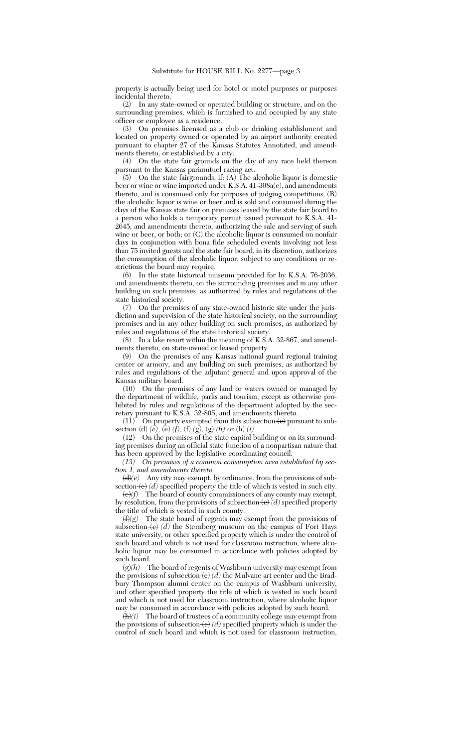property is actually being used for hotel or motel purposes or purposes incidental thereto.

(2) In any state-owned or operated building or structure, and on the surrounding premises, which is furnished to and occupied by any state officer or employee as a residence.

(3) On premises licensed as a club or drinking establishment and located on property owned or operated by an airport authority created pursuant to chapter 27 of the Kansas Statutes Annotated, and amendments thereto, or established by a city.

(4) On the state fair grounds on the day of any race held thereon pursuant to the Kansas parimutuel racing act.

(5) On the state fairgrounds, if: (A) The alcoholic liquor is domestic beer or wine or wine imported under K.S.A. 41-308a(e), and amendments thereto, and is consumed only for purposes of judging competitions; (B) the alcoholic liquor is wine or beer and is sold and consumed during the days of the Kansas state fair on premises leased by the state fair board to a person who holds a temporary permit issued pursuant to K.S.A. 41- 2645, and amendments thereto, authorizing the sale and serving of such wine or beer, or both; or  $(C)$  the alcoholic liquor is consumed on nonfair days in conjunction with bona fide scheduled events involving not less than 75 invited guests and the state fair board, in its discretion, authorizes the consumption of the alcoholic liquor, subject to any conditions or restrictions the board may require.

(6) In the state historical museum provided for by K.S.A. 76-2036, and amendments thereto, on the surrounding premises and in any other building on such premises, as authorized by rules and regulations of the state historical society.

(7) On the premises of any state-owned historic site under the jurisdiction and supervision of the state historical society, on the surrounding premises and in any other building on such premises, as authorized by rules and regulations of the state historical society.

(8) In a lake resort within the meaning of K.S.A. 32-867, and amendments thereto, on state-owned or leased property.

(9) On the premises of any Kansas national guard regional training center or armory, and any building on such premises, as authorized by rules and regulations of the adjutant general and upon approval of the Kansas military board.

(10) On the premises of any land or waters owned or managed by the department of wildlife, parks and tourism, except as otherwise prohibited by rules and regulations of the department adopted by the secretary pursuant to K.S.A. 32-805, and amendments thereto.

 $(11)^{-}$  On property exempted from this subsection  $\langle e \rangle$  pursuant to subsection  $\left(\frac{d}{e}, \frac{\partial}{e}, \frac{\partial}{f}\right)$  *(f)*,  $\left(\frac{f}{f}, \frac{\partial}{f}\right)$  *(k)* or  $\left(\frac{h}{f}\right)$  *(i)*.

(12) On the premises of the state capitol building or on its surrounding premises during an official state function of a nonpartisan nature that has been approved by the legislative coordinating council.

*(13) On premises of a common consumption area established by section 1, and amendments thereto.*

 $\langle d \rangle$ (*e*) Any city may exempt, by ordinance, from the provisions of subsection  $\left(\mathbf{e}\right)$  *(d)* specified property the title of which is vested in such city.

(e)*(f)* The board of county commissioners of any county may exempt, by resolution, from the provisions of subsection  $\left(\mathbf{e}\right)(d)$  specified property the title of which is vested in such county.

 $(f)(g)$  The state board of regents may exempt from the provisions of subsection  $\left\langle \epsilon \right\rangle$  *(d)* the Sternberg museum on the campus of Fort Hays state university, or other specified property which is under the control of such board and which is not used for classroom instruction, where alcoholic liquor may be consumed in accordance with policies adopted by such board.

 $\langle g \rangle(h)$  The board of regents of Washburn university may exempt from the provisions of subsection  $\left\langle e\right\rangle(d)$  the Mulvane art center and the Bradbury Thompson alumni center on the campus of Washburn university, and other specified property the title of which is vested in such board and which is not used for classroom instruction, where alcoholic liquor may be consumed in accordance with policies adopted by such board.

 $\langle \mathbf{h} \rangle$ *(i)* The board of trustees of a community college may exempt from the provisions of subsection  $\left\langle e\right\rangle(d)$  specified property which is under the control of such board and which is not used for classroom instruction,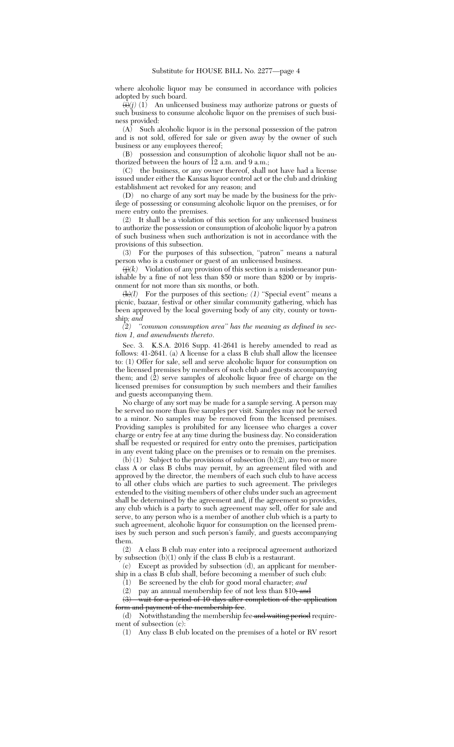where alcoholic liquor may be consumed in accordance with policies adopted by such board.

 $\overline{\langle i \rangle}(j)$  (1) An unlicensed business may authorize patrons or guests of such business to consume alcoholic liquor on the premises of such business provided:

(A) Such alcoholic liquor is in the personal possession of the patron and is not sold, offered for sale or given away by the owner of such business or any employees thereof;

(B) possession and consumption of alcoholic liquor shall not be authorized between the hours of 12 a.m. and 9 a.m.;

(C) the business, or any owner thereof, shall not have had a license issued under either the Kansas liquor control act or the club and drinking establishment act revoked for any reason; and

(D) no charge of any sort may be made by the business for the privilege of possessing or consuming alcoholic liquor on the premises, or for mere entry onto the premises.

(2) It shall be a violation of this section for any unlicensed business to authorize the possession or consumption of alcoholic liquor by a patron of such business when such authorization is not in accordance with the provisions of this subsection.

(3) For the purposes of this subsection, "patron" means a natural person who is a customer or guest of an unlicensed business.

 $\langle j \rangle$ *(k)* Violation of any provision of this section is a misdemeanor punishable by a fine of not less than \$50 or more than \$200 or by imprisonment for not more than six months, or both.

 $\langle k \rangle$  For the purposes of this section,  $\langle l \rangle$  "Special event" means a picnic, bazaar, festival or other similar community gathering, which has been approved by the local governing body of any city, county or township*; and*

*(2) ''common consumption area'' has the meaning as defined in section 1, and amendments thereto*.

Sec. 3. K.S.A. 2016 Supp. 41-2641 is hereby amended to read as follows: 41-2641. (a) A license for a class B club shall allow the licensee to: (1) Offer for sale, sell and serve alcoholic liquor for consumption on the licensed premises by members of such club and guests accompanying them; and  $(2)$  serve samples of alcoholic liquor free of charge on the licensed premises for consumption by such members and their families and guests accompanying them.

No charge of any sort may be made for a sample serving. A person may be served no more than five samples per visit. Samples may not be served to a minor. No samples may be removed from the licensed premises. Providing samples is prohibited for any licensee who charges a cover charge or entry fee at any time during the business day. No consideration shall be requested or required for entry onto the premises, participation in any event taking place on the premises or to remain on the premises.

(b) (1) Subject to the provisions of subsection (b)(2), any two or more class A or class B clubs may permit, by an agreement filed with and approved by the director, the members of each such club to have access to all other clubs which are parties to such agreement. The privileges extended to the visiting members of other clubs under such an agreement shall be determined by the agreement and, if the agreement so provides, any club which is a party to such agreement may sell, offer for sale and serve, to any person who is a member of another club which is a party to such agreement, alcoholic liquor for consumption on the licensed premises by such person and such person's family, and guests accompanying them.

(2) A class B club may enter into a reciprocal agreement authorized by subsection  $(b)(1)$  only if the class B club is a restaurant.

(c) Except as provided by subsection (d), an applicant for membership in a class B club shall, before becoming a member of such club:

(1) Be screened by the club for good moral character; *and*

(2) pay an annual membership fee of not less than  $$10;$  and

(3) wait for a period of 10 days after completion of the application form and payment of the membership fee.

 $(d)$  Notwithstanding the membership fee and waiting period requirement of subsection (c):

(1) Any class B club located on the premises of a hotel or RV resort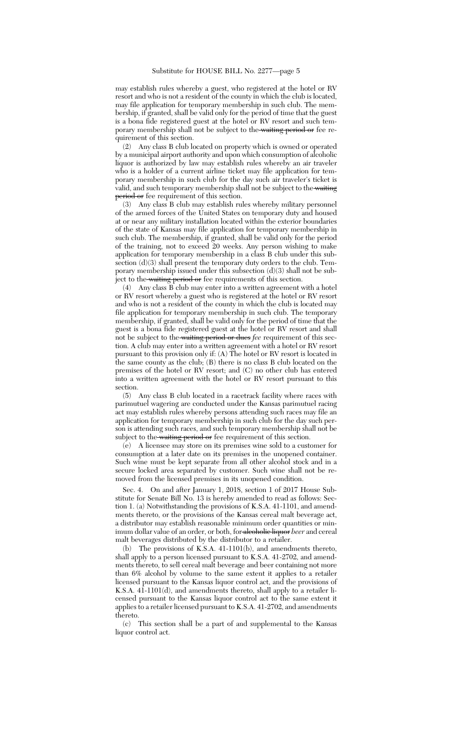may establish rules whereby a guest, who registered at the hotel or RV resort and who is not a resident of the county in which the club is located, may file application for temporary membership in such club. The membership, if granted, shall be valid only for the period of time that the guest is a bona fide registered guest at the hotel or RV resort and such temporary membership shall not be subject to the waiting period or fee requirement of this section.

(2) Any class B club located on property which is owned or operated by a municipal airport authority and upon which consumption of alcoholic liquor is authorized by law may establish rules whereby an air traveler who is a holder of a current airline ticket may file application for temporary membership in such club for the day such air traveler's ticket is valid, and such temporary membership shall not be subject to the waiting period or fee requirement of this section.

(3) Any class B club may establish rules whereby military personnel of the armed forces of the United States on temporary duty and housed at or near any military installation located within the exterior boundaries of the state of Kansas may file application for temporary membership in such club. The membership, if granted, shall be valid only for the period of the training, not to exceed 20 weeks. Any person wishing to make application for temporary membership in a class B club under this subsection (d)(3) shall present the temporary duty orders to the club. Temporary membership issued under this subsection (d)(3) shall not be subject to the waiting period or fee requirements of this section.

(4) Any class B club may enter into a written agreement with a hotel or RV resort whereby a guest who is registered at the hotel or RV resort and who is not a resident of the county in which the club is located may file application for temporary membership in such club. The temporary membership, if granted, shall be valid only for the period of time that the guest is a bona fide registered guest at the hotel or RV resort and shall not be subject to the waiting period or dues *fee* requirement of this section. A club may enter into a written agreement with a hotel or RV resort pursuant to this provision only if: (A) The hotel or RV resort is located in the same county as the club; (B) there is no class B club located on the premises of the hotel or RV resort; and (C) no other club has entered into a written agreement with the hotel or RV resort pursuant to this section.

(5) Any class B club located in a racetrack facility where races with parimutuel wagering are conducted under the Kansas parimutuel racing act may establish rules whereby persons attending such races may file an application for temporary membership in such club for the day such person is attending such races, and such temporary membership shall not be subject to the waiting period or fee requirement of this section.

(e) A licensee may store on its premises wine sold to a customer for consumption at a later date on its premises in the unopened container. Such wine must be kept separate from all other alcohol stock and in a secure locked area separated by customer. Such wine shall not be removed from the licensed premises in its unopened condition.

Sec. 4. On and after January 1, 2018, section 1 of 2017 House Substitute for Senate Bill No. 13 is hereby amended to read as follows: Section 1. (a) Notwithstanding the provisions of K.S.A. 41-1101, and amendments thereto, or the provisions of the Kansas cereal malt beverage act, a distributor may establish reasonable minimum order quantities or minimum dollar value of an order, or both, for alcoholic liquor *beer* and cereal malt beverages distributed by the distributor to a retailer.

(b) The provisions of K.S.A. 41-1101(b), and amendments thereto, shall apply to a person licensed pursuant to K.S.A. 41-2702, and amendments thereto, to sell cereal malt beverage and beer containing not more than 6% alcohol by volume to the same extent it applies to a retailer licensed pursuant to the Kansas liquor control act, and the provisions of K.S.A. 41-1101(d), and amendments thereto, shall apply to a retailer licensed pursuant to the Kansas liquor control act to the same extent it applies to a retailer licensed pursuant to K.S.A. 41-2702, and amendments thereto.

(c) This section shall be a part of and supplemental to the Kansas liquor control act.